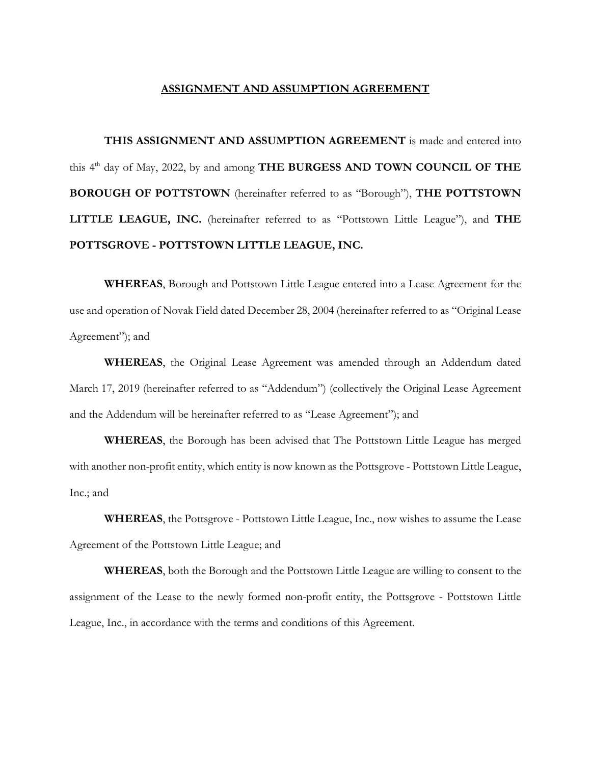## **ASSIGNMENT AND ASSUMPTION AGREEMENT**

**THIS ASSIGNMENT AND ASSUMPTION AGREEMENT** is made and entered into this 4<sup>th</sup> day of May, 2022, by and among **THE BURGESS AND TOWN COUNCIL OF THE BOROUGH OF POTTSTOWN** (hereinafter referred to as "Borough"), **THE POTTSTOWN LITTLE LEAGUE, INC.** (hereinafter referred to as "Pottstown Little League"), and **THE POTTSGROVE - POTTSTOWN LITTLE LEAGUE, INC.**

**WHEREAS**, Borough and Pottstown Little League entered into a Lease Agreement for the use and operation of Novak Field dated December 28, 2004 (hereinafter referred to as "Original Lease Agreement"); and

**WHEREAS**, the Original Lease Agreement was amended through an Addendum dated March 17, 2019 (hereinafter referred to as "Addendum") (collectively the Original Lease Agreement and the Addendum will be hereinafter referred to as "Lease Agreement"); and

**WHEREAS**, the Borough has been advised that The Pottstown Little League has merged with another non-profit entity, which entity is now known as the Pottsgrove - Pottstown Little League, Inc.; and

**WHEREAS**, the Pottsgrove - Pottstown Little League, Inc., now wishes to assume the Lease Agreement of the Pottstown Little League; and

**WHEREAS**, both the Borough and the Pottstown Little League are willing to consent to the assignment of the Lease to the newly formed non-profit entity, the Pottsgrove - Pottstown Little League, Inc., in accordance with the terms and conditions of this Agreement.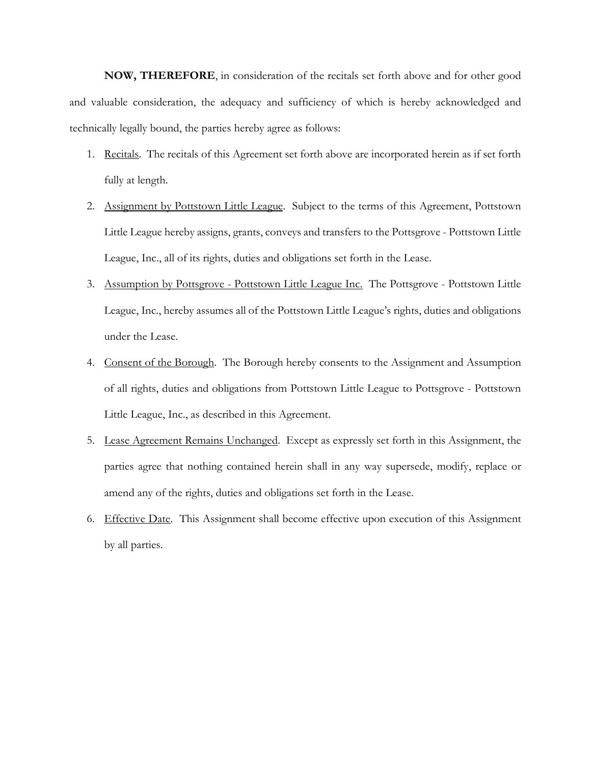**NOW, THEREFORE**, in consideration of the recitals set forth above and for other good and valuable consideration, the adequacy and sufficiency of which is hereby acknowledged and technically legally bound, the parties hereby agree as follows:

- 1. Recitals. The recitals of this Agreement set forth above are incorporated herein as if set forth fully at length.
- 2. Assignment by Pottstown Little League. Subject to the terms of this Agreement, Pottstown Little League hereby assigns, grants, conveys and transfers to the Pottsgrove - Pottstown Little League, Inc., all of its rights, duties and obligations set forth in the Lease.
- 3. Assumption by Pottsgrove Pottstown Little League Inc. The Pottsgrove Pottstown Little League, Inc., hereby assumes all of the Pottstown Little League's rights, duties and obligations under the Lease.
- 4. Consent of the Borough. The Borough hereby consents to the Assignment and Assumption of all rights, duties and obligations from Pottstown Little League to Pottsgrove - Pottstown Little League, Inc., as described in this Agreement.
- 5. Lease Agreement Remains Unchanged. Except as expressly set forth in this Assignment, the parties agree that nothing contained herein shall in any way supersede, modify, replace or amend any of the rights, duties and obligations set forth in the Lease.
- 6. Effective Date. This Assignment shall become effective upon execution of this Assignment by all parties.